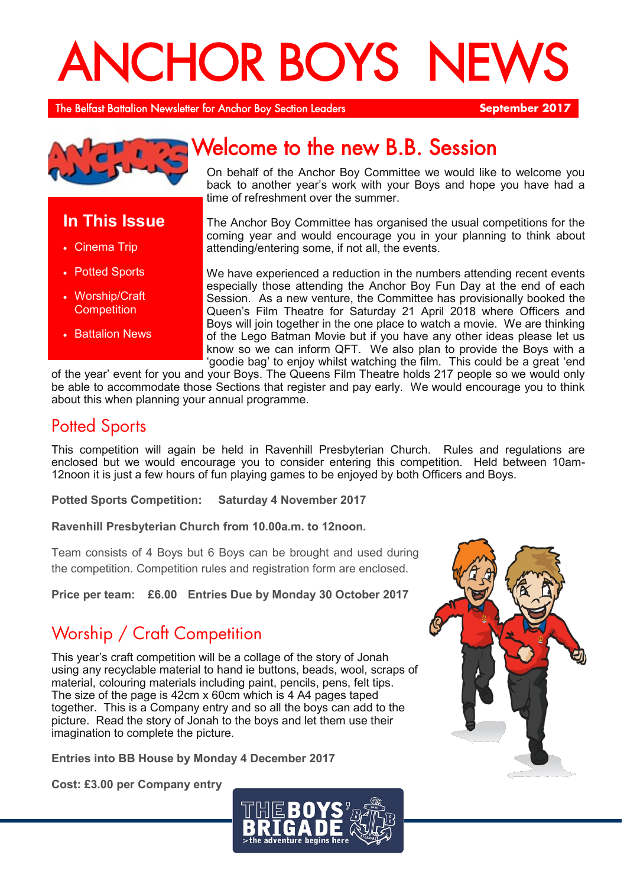# ANCHOR BOYS NE

The Belfast Battalion Newsletter for Anchor Boy Section Leaders **September 2017**



## **In This Issue**

- Cinema Trip
- Potted Sports
- Worship/Craft **Competition**
- Battalion News

# Welcome to the new B.B. Session

On behalf of the Anchor Boy Committee we would like to welcome you back to another year's work with your Boys and hope you have had a time of refreshment over the summer.

The Anchor Boy Committee has organised the usual competitions for the coming year and would encourage you in your planning to think about attending/entering some, if not all, the events.

We have experienced a reduction in the numbers attending recent events especially those attending the Anchor Boy Fun Day at the end of each Session. As a new venture, the Committee has provisionally booked the Queen's Film Theatre for Saturday 21 April 2018 where Officers and Boys will join together in the one place to watch a movie. We are thinking of the Lego Batman Movie but if you have any other ideas please let us know so we can inform QFT. We also plan to provide the Boys with a 'goodie bag' to enjoy whilst watching the film. This could be a great 'end

of the year' event for you and your Boys. The Queens Film Theatre holds 217 people so we would only be able to accommodate those Sections that register and pay early. We would encourage you to think about this when planning your annual programme.

## Potted Sports

This competition will again be held in Ravenhill Presbyterian Church. Rules and regulations are enclosed but we would encourage you to consider entering this competition. Held between 10am-12noon it is just a few hours of fun playing games to be enjoyed by both Officers and Boys.

**Potted Sports Competition: Saturday 4 November 2017**

**Ravenhill Presbyterian Church from 10.00a.m. to 12noon.** 

Team consists of 4 Boys but 6 Boys can be brought and used during the competition. Competition rules and registration form are enclosed.

**Price per team: £6.00 Entries Due by Monday 30 October 2017**

## Worship / Craft Competition

This year's craft competition will be a collage of the story of Jonah using any recyclable material to hand ie buttons, beads, wool, scraps of material, colouring materials including paint, pencils, pens, felt tips. The size of the page is 42cm x 60cm which is 4 A4 pages taped together. This is a Company entry and so all the boys can add to the picture. Read the story of Jonah to the boys and let them use their imagination to complete the picture.

**Entries into BB House by Monday 4 December 2017**

**Cost: £3.00 per Company entry**